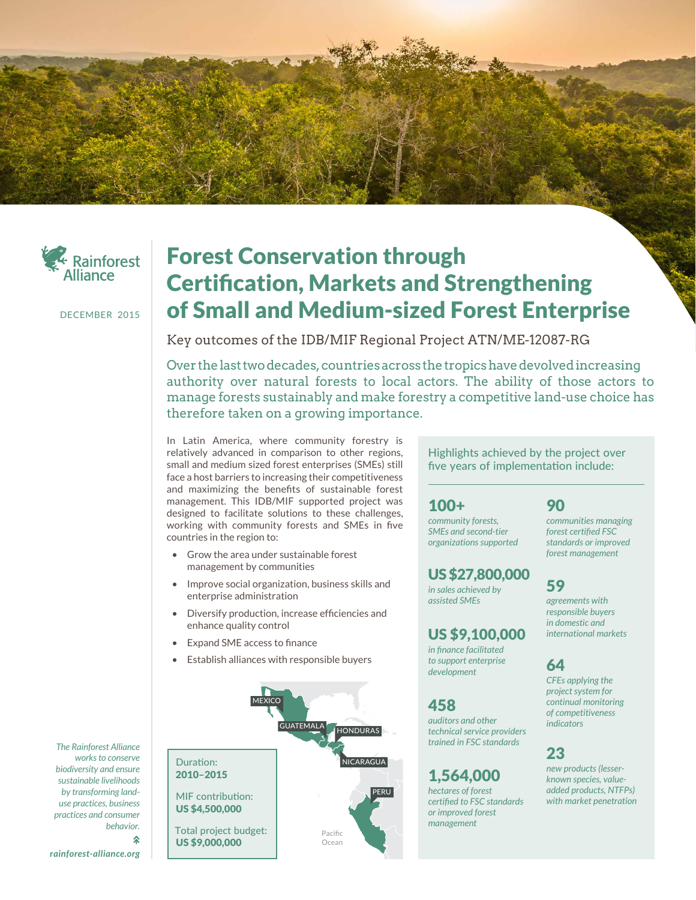



DECEMBER 2015

# Forest Conservation through Certification, Markets and Strengthening of Small and Medium-sized Forest Enterprise

Key outcomes of the IDB/MIF Regional Project ATN/ME-12087-RG

Over the last two decades, countries across the tropics have devolved increasing authority over natural forests to local actors. The ability of those actors to manage forests sustainably and make forestry a competitive land-use choice has therefore taken on a growing importance.

In Latin America, where community forestry is relatively advanced in comparison to other regions, small and medium sized forest enterprises (SMEs) still face a host barriers to increasing their competitiveness and maximizing the benefits of sustainable forest management. This IDB/MIF supported project was designed to facilitate solutions to these challenges, working with community forests and SMEs in five countries in the region to:

- Grow the area under sustainable forest management by communities
- Improve social organization, business skills and enterprise administration
- Diversify production, increase efficiencies and enhance quality control
- Expand SME access to finance
- Establish alliances with responsible buyers



Highlights achieved by the project over five years of implementation include:

#### 100+

*community forests, SMEs and second-tier organizations supported*

#### US \$27,800,000

*in sales achieved by assisted SMEs*

#### US \$9,100,000

*in finance facilitated to support enterprise development*

#### **458**

*auditors and other technical service providers trained in FSC standards*

### 1,564,000

*hectares of forest certified to FSC standards or improved forest management*

#### 90

*communities managing forest certified FSC standards or improved forest management*

## 59

*agreements with responsible buyers in domestic and international markets*

#### 64

*CFEs applying the project system for continual monitoring of competitiveness indicators*

#### 23

*new products (lesserknown species, valueadded products, NTFPs) with market penetration*

*The Rainforest Alliance works to conserve biodiversity and ensure sustainable livelihoods by transforming landuse practices, business practices and consumer behavior.*

*rainforest-alliance.org*